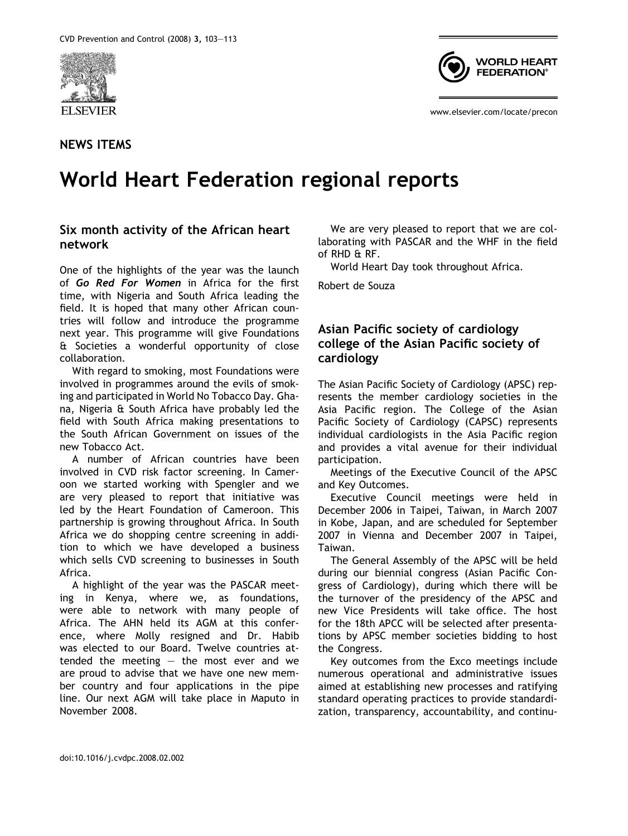



www.elsevier.com/locate/precon

# NEWS ITEMS

# World Heart Federation regional reports

## Six month activity of the African heart network

One of the highlights of the year was the launch of Go Red For Women in Africa for the first time, with Nigeria and South Africa leading the field. It is hoped that many other African countries will follow and introduce the programme next year. This programme will give Foundations & Societies a wonderful opportunity of close collaboration.

With regard to smoking, most Foundations were involved in programmes around the evils of smoking and participated in World No Tobacco Day. Ghana, Nigeria & South Africa have probably led the field with South Africa making presentations to the South African Government on issues of the new Tobacco Act.

A number of African countries have been involved in CVD risk factor screening. In Cameroon we started working with Spengler and we are very pleased to report that initiative was led by the Heart Foundation of Cameroon. This partnership is growing throughout Africa. In South Africa we do shopping centre screening in addition to which we have developed a business which sells CVD screening to businesses in South Africa.

A highlight of the year was the PASCAR meeting in Kenya, where we, as foundations, were able to network with many people of Africa. The AHN held its AGM at this conference, where Molly resigned and Dr. Habib was elected to our Board. Twelve countries attended the meeting  $-$  the most ever and we are proud to advise that we have one new member country and four applications in the pipe line. Our next AGM will take place in Maputo in November 2008.

We are very pleased to report that we are collaborating with PASCAR and the WHF in the field of RHD & RF.

World Heart Day took throughout Africa.

Robert de Souza

# Asian Pacific society of cardiology college of the Asian Pacific society of cardiology

The Asian Pacific Society of Cardiology (APSC) represents the member cardiology societies in the Asia Pacific region. The College of the Asian Pacific Society of Cardiology (CAPSC) represents individual cardiologists in the Asia Pacific region and provides a vital avenue for their individual participation.

Meetings of the Executive Council of the APSC and Key Outcomes.

Executive Council meetings were held in December 2006 in Taipei, Taiwan, in March 2007 in Kobe, Japan, and are scheduled for September 2007 in Vienna and December 2007 in Taipei, Taiwan.

The General Assembly of the APSC will be held during our biennial congress (Asian Pacific Congress of Cardiology), during which there will be the turnover of the presidency of the APSC and new Vice Presidents will take office. The host for the 18th APCC will be selected after presentations by APSC member societies bidding to host the Congress.

Key outcomes from the Exco meetings include numerous operational and administrative issues aimed at establishing new processes and ratifying standard operating practices to provide standardization, transparency, accountability, and continu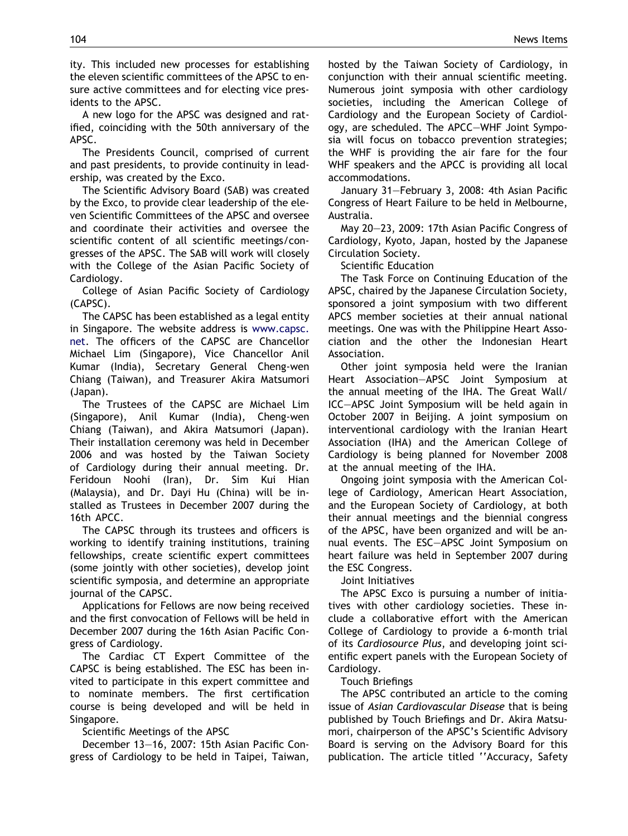ity. This included new processes for establishing the eleven scientific committees of the APSC to ensure active committees and for electing vice presidents to the APSC.

A new logo for the APSC was designed and ratified, coinciding with the 50th anniversary of the APSC.

The Presidents Council, comprised of current and past presidents, to provide continuity in leadership, was created by the Exco.

The Scientific Advisory Board (SAB) was created by the Exco, to provide clear leadership of the eleven Scientific Committees of the APSC and oversee and coordinate their activities and oversee the scientific content of all scientific meetings/congresses of the APSC. The SAB will work will closely with the College of the Asian Pacific Society of Cardiology.

College of Asian Pacific Society of Cardiology (CAPSC).

The CAPSC has been established as a legal entity in Singapore. The website address is [www.capsc.](http://www.capsc.net) [net](http://www.capsc.net). The officers of the CAPSC are Chancellor Michael Lim (Singapore), Vice Chancellor Anil Kumar (India), Secretary General Cheng-wen Chiang (Taiwan), and Treasurer Akira Matsumori (Japan).

The Trustees of the CAPSC are Michael Lim (Singapore), Anil Kumar (India), Cheng-wen Chiang (Taiwan), and Akira Matsumori (Japan). Their installation ceremony was held in December 2006 and was hosted by the Taiwan Society of Cardiology during their annual meeting. Dr. Feridoun Noohi (Iran), Dr. Sim Kui Hian (Malaysia), and Dr. Dayi Hu (China) will be installed as Trustees in December 2007 during the 16th APCC.

The CAPSC through its trustees and officers is working to identify training institutions, training fellowships, create scientific expert committees (some jointly with other societies), develop joint scientific symposia, and determine an appropriate journal of the CAPSC.

Applications for Fellows are now being received and the first convocation of Fellows will be held in December 2007 during the 16th Asian Pacific Congress of Cardiology.

The Cardiac CT Expert Committee of the CAPSC is being established. The ESC has been invited to participate in this expert committee and to nominate members. The first certification course is being developed and will be held in Singapore.

Scientific Meetings of the APSC

December 13–16, 2007: 15th Asian Pacific Congress of Cardiology to be held in Taipei, Taiwan, hosted by the Taiwan Society of Cardiology, in conjunction with their annual scientific meeting. Numerous joint symposia with other cardiology societies, including the American College of Cardiology and the European Society of Cardiology, are scheduled. The APCC–WHF Joint Symposia will focus on tobacco prevention strategies; the WHF is providing the air fare for the four WHF speakers and the APCC is providing all local accommodations.

January 31–February 3, 2008: 4th Asian Pacific Congress of Heart Failure to be held in Melbourne, Australia.

May 20–23, 2009: 17th Asian Pacific Congress of Cardiology, Kyoto, Japan, hosted by the Japanese Circulation Society.

Scientific Education

The Task Force on Continuing Education of the APSC, chaired by the Japanese Circulation Society, sponsored a joint symposium with two different APCS member societies at their annual national meetings. One was with the Philippine Heart Association and the other the Indonesian Heart Association.

Other joint symposia held were the Iranian Heart Association–APSC Joint Symposium at the annual meeting of the IHA. The Great Wall/ ICC–APSC Joint Symposium will be held again in October 2007 in Beijing. A joint symposium on interventional cardiology with the Iranian Heart Association (IHA) and the American College of Cardiology is being planned for November 2008 at the annual meeting of the IHA.

Ongoing joint symposia with the American College of Cardiology, American Heart Association, and the European Society of Cardiology, at both their annual meetings and the biennial congress of the APSC, have been organized and will be annual events. The ESC–APSC Joint Symposium on heart failure was held in September 2007 during the ESC Congress.

Joint Initiatives

The APSC Exco is pursuing a number of initiatives with other cardiology societies. These include a collaborative effort with the American College of Cardiology to provide a 6-month trial of its Cardiosource Plus, and developing joint scientific expert panels with the European Society of Cardiology.

Touch Briefings

The APSC contributed an article to the coming issue of Asian Cardiovascular Disease that is being published by Touch Briefings and Dr. Akira Matsumori, chairperson of the APSC's Scientific Advisory Board is serving on the Advisory Board for this publication. The article titled ''Accuracy, Safety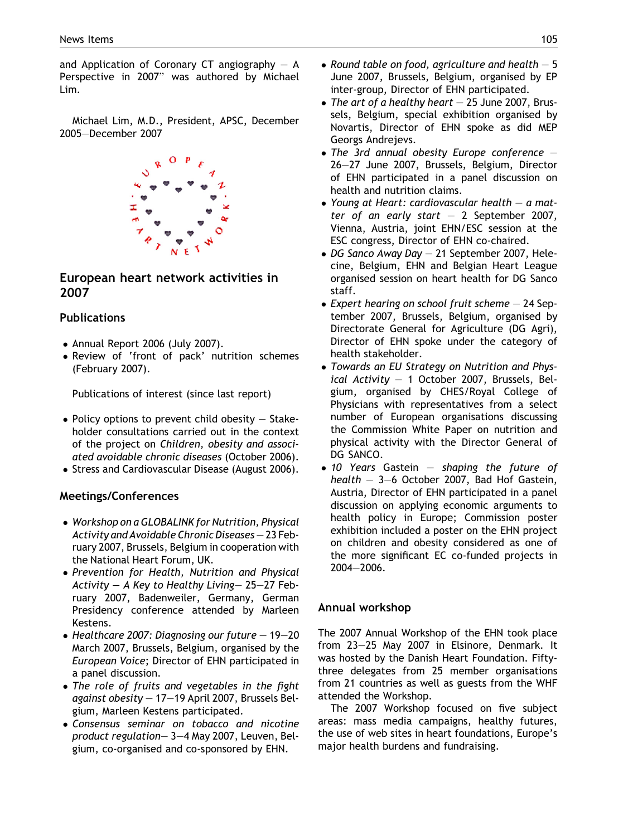and Application of Coronary CT angiography  $- A$ Perspective in 2007" was authored by Michael Lim.

Michael Lim, M.D., President, APSC, December 2005–December 2007



## European heart network activities in 2007

## Publications

- Annual Report 2006 (July 2007).
- Review of 'front of pack' nutrition schemes (February 2007).

Publications of interest (since last report)

- Policy options to prevent child obesity Stakeholder consultations carried out in the context of the project on Children, obesity and associated avoidable chronic diseases (October 2006).
- Stress and Cardiovascular Disease (August 2006).

#### Meetings/Conferences

- Workshop on a GLOBALINK for Nutrition, Physical Activity and Avoidable Chronic Diseases – 23 February 2007, Brussels, Belgium in cooperation with the National Heart Forum, UK.
- Prevention for Health, Nutrition and Physical Activity  $-$  A Key to Healthy Living $-$  25 $-$ 27 February 2007, Badenweiler, Germany, German Presidency conference attended by Marleen Kestens.
- Healthcare 2007: Diagnosing our future 19–20 March 2007, Brussels, Belgium, organised by the European Voice; Director of EHN participated in a panel discussion.
- The role of fruits and vegetables in the fight against obesity – 17–19 April 2007, Brussels Belgium, Marleen Kestens participated.
- Consensus seminar on tobacco and nicotine product regulation– 3–4 May 2007, Leuven, Belgium, co-organised and co-sponsored by EHN.
- Round table on food, agriculture and health  $-5$ June 2007, Brussels, Belgium, organised by EP inter-group, Director of EHN participated.
- $\bullet$  The art of a healthy heart  $-$  25 June 2007, Brussels, Belgium, special exhibition organised by Novartis, Director of EHN spoke as did MEP Georgs Andrejevs.
- The 3rd annual obesity Europe conference 26–27 June 2007, Brussels, Belgium, Director of EHN participated in a panel discussion on health and nutrition claims.
- Young at Heart: cardiovascular health a matter of an early start  $-2$  September 2007, Vienna, Austria, joint EHN/ESC session at the ESC congress, Director of EHN co-chaired.
- DG Sanco Away Day 21 September 2007, Helecine, Belgium, EHN and Belgian Heart League organised session on heart health for DG Sanco staff.
- $\bullet$  Expert hearing on school fruit scheme  $-$  24 September 2007, Brussels, Belgium, organised by Directorate General for Agriculture (DG Agri), Director of EHN spoke under the category of health stakeholder.
- Towards an EU Strategy on Nutrition and Physical Activity – 1 October 2007, Brussels, Belgium, organised by CHES/Royal College of Physicians with representatives from a select number of European organisations discussing the Commission White Paper on nutrition and physical activity with the Director General of DG SANCO.
- 10 Years Gastein shaping the future of health  $-$  3-6 October 2007, Bad Hof Gastein, Austria, Director of EHN participated in a panel discussion on applying economic arguments to health policy in Europe; Commission poster exhibition included a poster on the EHN project on children and obesity considered as one of the more significant EC co-funded projects in 2004–2006.

#### Annual workshop

The 2007 Annual Workshop of the EHN took place from 23–25 May 2007 in Elsinore, Denmark. It was hosted by the Danish Heart Foundation. Fiftythree delegates from 25 member organisations from 21 countries as well as guests from the WHF attended the Workshop.

The 2007 Workshop focused on five subject areas: mass media campaigns, healthy futures, the use of web sites in heart foundations, Europe's major health burdens and fundraising.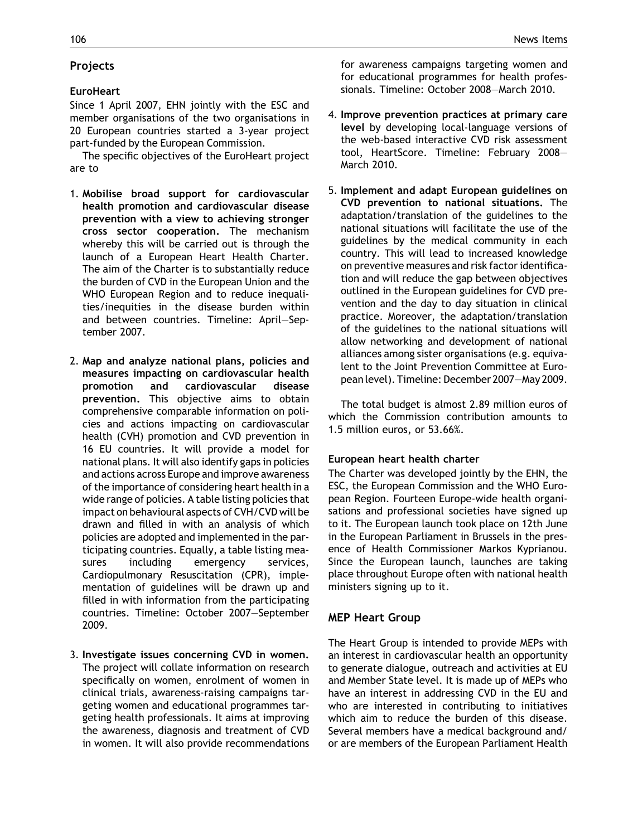# Projects

# **EuroHeart**

Since 1 April 2007, EHN jointly with the ESC and member organisations of the two organisations in 20 European countries started a 3-year project part-funded by the European Commission.

The specific objectives of the EuroHeart project are to

- 1. Mobilise broad support for cardiovascular health promotion and cardiovascular disease prevention with a view to achieving stronger cross sector cooperation. The mechanism whereby this will be carried out is through the launch of a European Heart Health Charter. The aim of the Charter is to substantially reduce the burden of CVD in the European Union and the WHO European Region and to reduce inequalities/inequities in the disease burden within and between countries. Timeline: April–September 2007.
- 2. Map and analyze national plans, policies and measures impacting on cardiovascular health promotion and cardiovascular disease prevention. This objective aims to obtain comprehensive comparable information on policies and actions impacting on cardiovascular health (CVH) promotion and CVD prevention in 16 EU countries. It will provide a model for national plans. It will also identify gaps in policies and actions across Europe and improve awareness of the importance of considering heart health in a wide range of policies. A table listing policies that impact on behavioural aspects of CVH/CVD will be drawn and filled in with an analysis of which policies are adopted and implemented in the participating countries. Equally, a table listing measures including emergency services, Cardiopulmonary Resuscitation (CPR), implementation of guidelines will be drawn up and filled in with information from the participating countries. Timeline: October 2007–September 2009.
- 3. Investigate issues concerning CVD in women. The project will collate information on research specifically on women, enrolment of women in clinical trials, awareness-raising campaigns targeting women and educational programmes targeting health professionals. It aims at improving the awareness, diagnosis and treatment of CVD in women. It will also provide recommendations

for awareness campaigns targeting women and for educational programmes for health professionals. Timeline: October 2008–March 2010.

- 4. Improve prevention practices at primary care level by developing local-language versions of the web-based interactive CVD risk assessment tool, HeartScore. Timeline: February 2008– March 2010.
- 5. Implement and adapt European guidelines on CVD prevention to national situations. The adaptation/translation of the guidelines to the national situations will facilitate the use of the guidelines by the medical community in each country. This will lead to increased knowledge on preventive measures and risk factor identification and will reduce the gap between objectives outlined in the European guidelines for CVD prevention and the day to day situation in clinical practice. Moreover, the adaptation/translation of the guidelines to the national situations will allow networking and development of national alliances among sister organisations (e.g. equivalent to the Joint Prevention Committee at European level). Timeline: December 2007–May 2009.

The total budget is almost 2.89 million euros of which the Commission contribution amounts to 1.5 million euros, or 53.66%.

# European heart health charter

The Charter was developed jointly by the EHN, the ESC, the European Commission and the WHO European Region. Fourteen Europe-wide health organisations and professional societies have signed up to it. The European launch took place on 12th June in the European Parliament in Brussels in the presence of Health Commissioner Markos Kyprianou. Since the European launch, launches are taking place throughout Europe often with national health ministers signing up to it.

# MEP Heart Group

The Heart Group is intended to provide MEPs with an interest in cardiovascular health an opportunity to generate dialogue, outreach and activities at EU and Member State level. It is made up of MEPs who have an interest in addressing CVD in the EU and who are interested in contributing to initiatives which aim to reduce the burden of this disease. Several members have a medical background and/ or are members of the European Parliament Health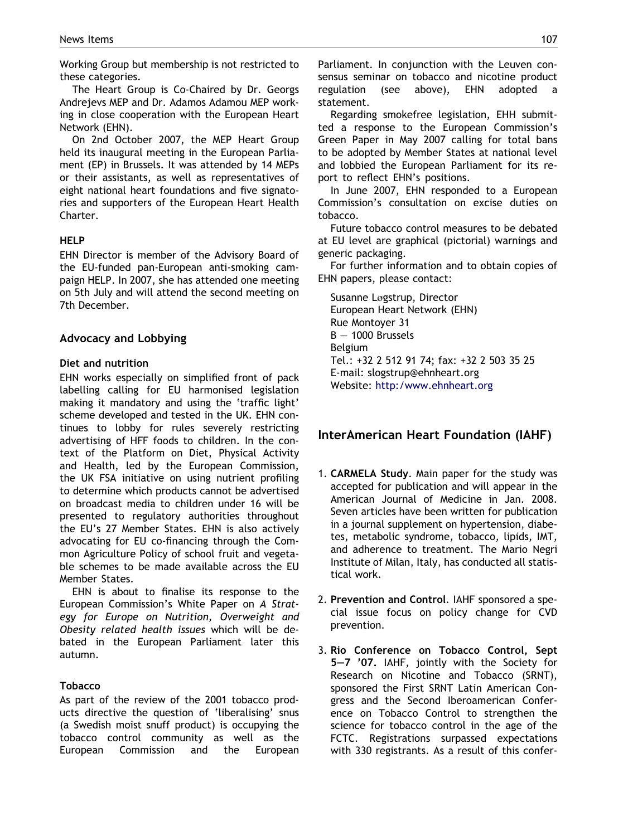Working Group but membership is not restricted to these categories.

The Heart Group is Co-Chaired by Dr. Georgs Andrejevs MEP and Dr. Adamos Adamou MEP working in close cooperation with the European Heart Network (EHN).

On 2nd October 2007, the MEP Heart Group held its inaugural meeting in the European Parliament (EP) in Brussels. It was attended by 14 MEPs or their assistants, as well as representatives of eight national heart foundations and five signatories and supporters of the European Heart Health Charter.

#### HELP

EHN Director is member of the Advisory Board of the EU-funded pan-European anti-smoking campaign HELP. In 2007, she has attended one meeting on 5th July and will attend the second meeting on 7th December.

## Advocacy and Lobbying

#### Diet and nutrition

EHN works especially on simplified front of pack labelling calling for EU harmonised legislation making it mandatory and using the 'traffic light' scheme developed and tested in the UK. EHN continues to lobby for rules severely restricting advertising of HFF foods to children. In the context of the Platform on Diet, Physical Activity and Health, led by the European Commission, the UK FSA initiative on using nutrient profiling to determine which products cannot be advertised on broadcast media to children under 16 will be presented to regulatory authorities throughout the EU's 27 Member States. EHN is also actively advocating for EU co-financing through the Common Agriculture Policy of school fruit and vegetable schemes to be made available across the EU Member States.

EHN is about to finalise its response to the European Commission's White Paper on A Strategy for Europe on Nutrition, Overweight and Obesity related health issues which will be debated in the European Parliament later this autumn.

#### Tobacco

As part of the review of the 2001 tobacco products directive the question of 'liberalising' snus (a Swedish moist snuff product) is occupying the tobacco control community as well as the European Commission and the European Parliament. In conjunction with the Leuven consensus seminar on tobacco and nicotine product regulation (see above), EHN adopted a statement.

Regarding smokefree legislation, EHH submitted a response to the European Commission's Green Paper in May 2007 calling for total bans to be adopted by Member States at national level and lobbied the European Parliament for its report to reflect EHN's positions.

In June 2007, EHN responded to a European Commission's consultation on excise duties on tobacco.

Future tobacco control measures to be debated at EU level are graphical (pictorial) warnings and generic packaging.

For further information and to obtain copies of EHN papers, please contact:

Susanne Løgstrup, Director European Heart Network (EHN) Rue Montoyer 31  $B - 1000$  Brussels Belgium Tel.: +32 2 512 91 74; fax: +32 2 503 35 25 E-mail: slogstrup@ehnheart.org Website: [http:/www.ehnheart.org](http://http:/www.ehnheart.org)

## InterAmerican Heart Foundation (IAHF)

- 1. CARMELA Study. Main paper for the study was accepted for publication and will appear in the American Journal of Medicine in Jan. 2008. Seven articles have been written for publication in a journal supplement on hypertension, diabetes, metabolic syndrome, tobacco, lipids, IMT, and adherence to treatment. The Mario Negri Institute of Milan, Italy, has conducted all statistical work.
- 2. Prevention and Control. IAHF sponsored a special issue focus on policy change for CVD prevention.
- 3. Rio Conference on Tobacco Control, Sept 5–7 '07. IAHF, jointly with the Society for Research on Nicotine and Tobacco (SRNT), sponsored the First SRNT Latin American Congress and the Second Iberoamerican Conference on Tobacco Control to strengthen the science for tobacco control in the age of the FCTC. Registrations surpassed expectations with 330 registrants. As a result of this confer-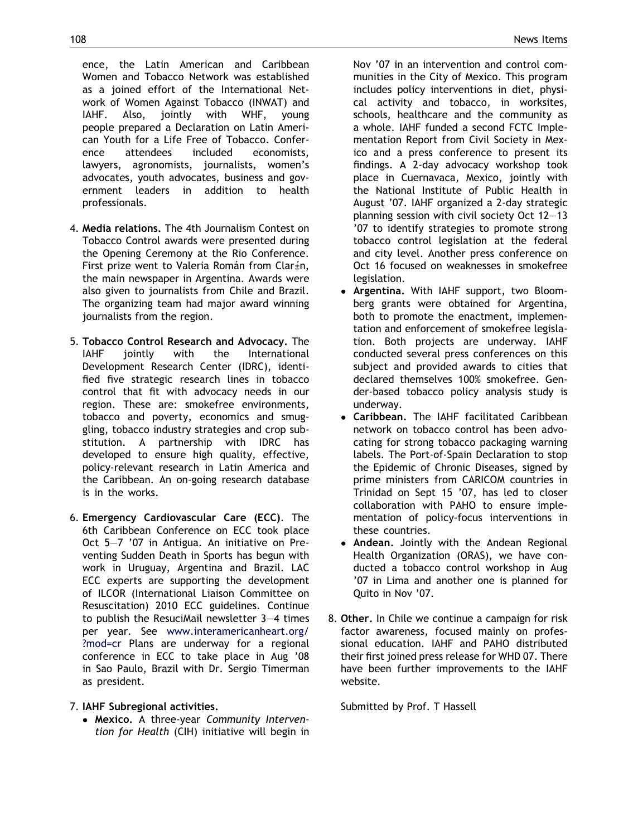ence, the Latin American and Caribbean Women and Tobacco Network was established as a joined effort of the International Network of Women Against Tobacco (INWAT) and IAHF. Also, jointly with WHF, young people prepared a Declaration on Latin American Youth for a Life Free of Tobacco. Conference attendees included economists, lawyers, agronomists, journalists, women's advocates, youth advocates, business and government leaders in addition to health professionals.

- 4. Media relations. The 4th Journalism Contest on Tobacco Control awards were presented during the Opening Ceremony at the Rio Conference. First prize went to Valeria Román from Clar $\pm$ n, the main newspaper in Argentina. Awards were also given to journalists from Chile and Brazil. The organizing team had major award winning journalists from the region.
- 5. Tobacco Control Research and Advocacy. The IAHF jointly with the International Development Research Center (IDRC), identified five strategic research lines in tobacco control that fit with advocacy needs in our region. These are: smokefree environments, tobacco and poverty, economics and smuggling, tobacco industry strategies and crop substitution. A partnership with IDRC has developed to ensure high quality, effective, policy-relevant research in Latin America and the Caribbean. An on-going research database is in the works.
- 6. Emergency Cardiovascular Care (ECC). The 6th Caribbean Conference on ECC took place Oct 5–7 '07 in Antigua. An initiative on Preventing Sudden Death in Sports has begun with work in Uruguay, Argentina and Brazil. LAC ECC experts are supporting the development of ILCOR (International Liaison Committee on Resuscitation) 2010 ECC guidelines. Continue to publish the ResuciMail newsletter 3–4 times per year. See [www.interamericanheart.org/](http://www.interamericanheart.org/?mod=cr) [?mod=cr](http://www.interamericanheart.org/?mod=cr) Plans are underway for a regional conference in ECC to take place in Aug '08 in Sao Paulo, Brazil with Dr. Sergio Timerman as president.

#### 7. IAHF Subregional activities.

• Mexico. A three-year Community Intervention for Health (CIH) initiative will begin in Nov '07 in an intervention and control communities in the City of Mexico. This program includes policy interventions in diet, physical activity and tobacco, in worksites, schools, healthcare and the community as a whole. IAHF funded a second FCTC Implementation Report from Civil Society in Mexico and a press conference to present its findings. A 2-day advocacy workshop took place in Cuernavaca, Mexico, jointly with the National Institute of Public Health in August '07. IAHF organized a 2-day strategic planning session with civil society Oct 12–13 '07 to identify strategies to promote strong tobacco control legislation at the federal and city level. Another press conference on Oct 16 focused on weaknesses in smokefree legislation.

- Argentina. With IAHF support, two Bloomberg grants were obtained for Argentina, both to promote the enactment, implementation and enforcement of smokefree legislation. Both projects are underway. IAHF conducted several press conferences on this subject and provided awards to cities that declared themselves 100% smokefree. Gender-based tobacco policy analysis study is underway.
- Caribbean. The IAHF facilitated Caribbean network on tobacco control has been advocating for strong tobacco packaging warning labels. The Port-of-Spain Declaration to stop the Epidemic of Chronic Diseases, signed by prime ministers from CARICOM countries in Trinidad on Sept 15 '07, has led to closer collaboration with PAHO to ensure implementation of policy-focus interventions in these countries.
- Andean. Jointly with the Andean Regional Health Organization (ORAS), we have conducted a tobacco control workshop in Aug '07 in Lima and another one is planned for Quito in Nov '07.
- 8. Other. In Chile we continue a campaign for risk factor awareness, focused mainly on professional education. IAHF and PAHO distributed their first joined press release for WHD 07. There have been further improvements to the IAHF website.

Submitted by Prof. T Hassell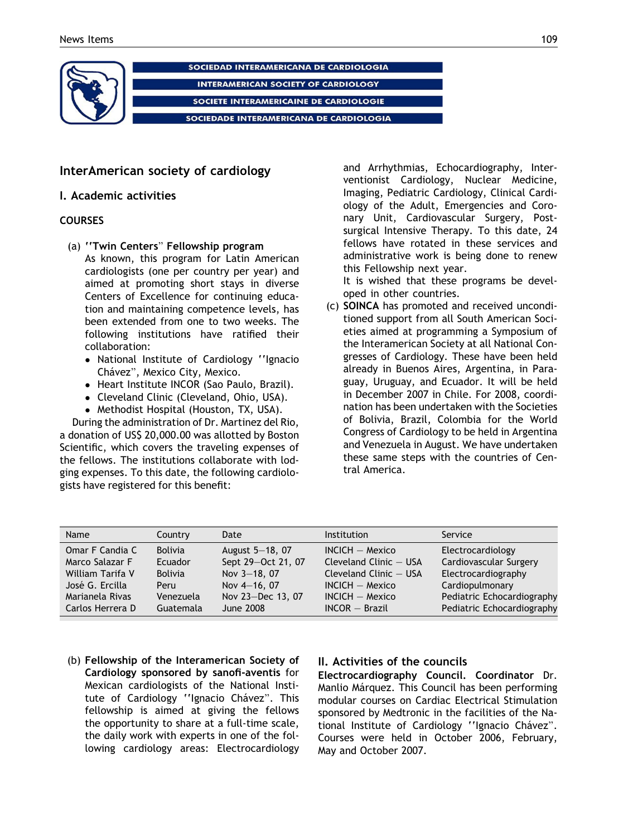

## InterAmerican society of cardiology

#### I. Academic activities

#### COURSES

- (a) ''Twin Centers" Fellowship program
	- As known, this program for Latin American cardiologists (one per country per year) and aimed at promoting short stays in diverse Centers of Excellence for continuing education and maintaining competence levels, has been extended from one to two weeks. The following institutions have ratified their collaboration:
		- National Institute of Cardiology ''Ignacio Chávez", Mexico City, Mexico.
		- Heart Institute INCOR (Sao Paulo, Brazil).
		- Cleveland Clinic (Cleveland, Ohio, USA).
		- Methodist Hospital (Houston, TX, USA).

During the administration of Dr. Martinez del Rio, a donation of US\$ 20,000.00 was allotted by Boston Scientific, which covers the traveling expenses of the fellows. The institutions collaborate with lodging expenses. To this date, the following cardiologists have registered for this benefit:

and Arrhythmias, Echocardiography, Interventionist Cardiology, Nuclear Medicine, Imaging, Pediatric Cardiology, Clinical Cardiology of the Adult, Emergencies and Coronary Unit, Cardiovascular Surgery, Postsurgical Intensive Therapy. To this date, 24 fellows have rotated in these services and administrative work is being done to renew this Fellowship next year.

It is wished that these programs be developed in other countries.

(c) SOINCA has promoted and received unconditioned support from all South American Societies aimed at programming a Symposium of the Interamerican Society at all National Congresses of Cardiology. These have been held already in Buenos Aires, Argentina, in Paraguay, Uruguay, and Ecuador. It will be held in December 2007 in Chile. For 2008, coordination has been undertaken with the Societies of Bolivia, Brazil, Colombia for the World Congress of Cardiology to be held in Argentina and Venezuela in August. We have undertaken these same steps with the countries of Central America.

| Name                                                                                         | Country                                                          | Date                                                                                       | <b>Institution</b>                                                                                                | Service                                                                                                             |
|----------------------------------------------------------------------------------------------|------------------------------------------------------------------|--------------------------------------------------------------------------------------------|-------------------------------------------------------------------------------------------------------------------|---------------------------------------------------------------------------------------------------------------------|
| Omar F Candia C<br>Marco Salazar F<br>William Tarifa V<br>José G. Ercilla<br>Marianela Rivas | <b>Bolivia</b><br>Ecuador<br><b>Bolivia</b><br>Peru<br>Venezuela | August 5-18, 07<br>Sept 29-Oct 21, 07<br>Nov 3-18, 07<br>Nov 4-16, 07<br>Nov 23-Dec 13, 07 | $INCICH - Mexico$<br>Cleveland Clinic $-$ USA<br>Cleveland Clinic - USA<br>$INCICH - Mexico$<br>$INCICH - Mexico$ | Electrocardiology<br>Cardiovascular Surgery<br>Electrocardiography<br>Cardiopulmonary<br>Pediatric Echocardiography |
| Carlos Herrera D                                                                             | Guatemala                                                        | June 2008                                                                                  | $INCOR - Brazil$                                                                                                  | Pediatric Echocardiography                                                                                          |

(b) Fellowship of the Interamerican Society of Cardiology sponsored by sanofi-aventis for Mexican cardiologists of the National Institute of Cardiology "Ignacio Chávez". This fellowship is aimed at giving the fellows the opportunity to share at a full-time scale, the daily work with experts in one of the following cardiology areas: Electrocardiology

#### II. Activities of the councils

Electrocardiography Council. Coordinator Dr. Manlio Márquez. This Council has been performing modular courses on Cardiac Electrical Stimulation sponsored by Medtronic in the facilities of the National Institute of Cardiology "Ignacio Chávez". Courses were held in October 2006, February, May and October 2007.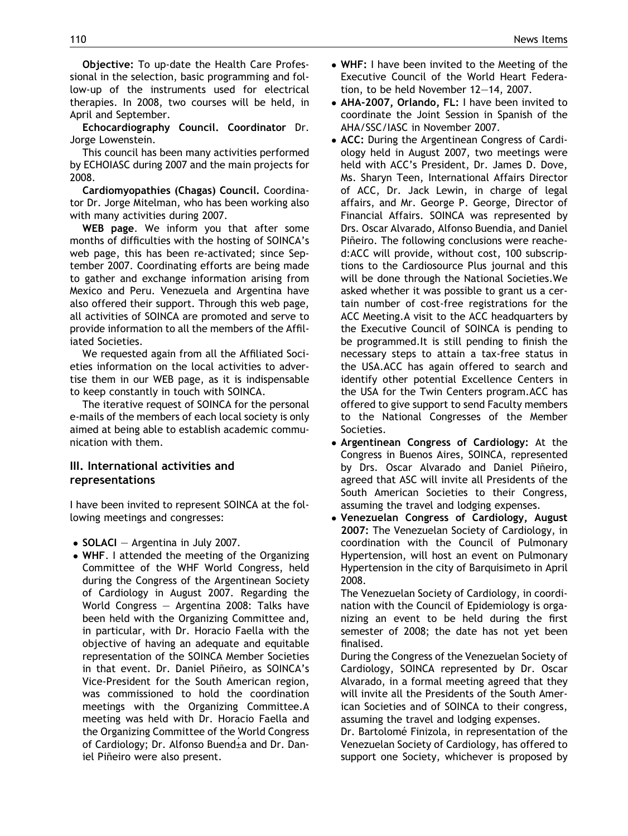Objective: To up-date the Health Care Professional in the selection, basic programming and follow-up of the instruments used for electrical therapies. In 2008, two courses will be held, in April and September.

Echocardiography Council. Coordinator Dr. Jorge Lowenstein.

This council has been many activities performed by ECHOIASC during 2007 and the main projects for 2008.

Cardiomyopathies (Chagas) Council. Coordinator Dr. Jorge Mitelman, who has been working also with many activities during 2007.

WEB page. We inform you that after some months of difficulties with the hosting of SOINCA's web page, this has been re-activated; since September 2007. Coordinating efforts are being made to gather and exchange information arising from Mexico and Peru. Venezuela and Argentina have also offered their support. Through this web page, all activities of SOINCA are promoted and serve to provide information to all the members of the Affiliated Societies.

We requested again from all the Affiliated Societies information on the local activities to advertise them in our WEB page, as it is indispensable to keep constantly in touch with SOINCA.

The iterative request of SOINCA for the personal e-mails of the members of each local society is only aimed at being able to establish academic communication with them.

## III. International activities and representations

I have been invited to represent SOINCA at the following meetings and congresses:

- SOLACI Argentina in July 2007.
- WHF. I attended the meeting of the Organizing Committee of the WHF World Congress, held during the Congress of the Argentinean Society of Cardiology in August 2007. Regarding the World Congress – Argentina 2008: Talks have been held with the Organizing Committee and, in particular, with Dr. Horacio Faella with the objective of having an adequate and equitable representation of the SOINCA Member Societies in that event. Dr. Daniel Piñeiro, as SOINCA's Vice-President for the South American region, was commissioned to hold the coordination meetings with the Organizing Committee.A meeting was held with Dr. Horacio Faella and the Organizing Committee of the World Congress of Cardiology; Dr. Alfonso Buend±´a and Dr. Daniel Piñeiro were also present.
- WHF: I have been invited to the Meeting of the Executive Council of the World Heart Federation, to be held November 12–14, 2007.
- AHA-2007, Orlando, FL: I have been invited to coordinate the Joint Session in Spanish of the AHA/SSC/IASC in November 2007.
- ACC: During the Argentinean Congress of Cardiology held in August 2007, two meetings were held with ACC's President, Dr. James D. Dove, Ms. Sharyn Teen, International Affairs Director of ACC, Dr. Jack Lewin, in charge of legal affairs, and Mr. George P. George, Director of Financial Affairs. SOINCA was represented by Drs. Oscar Alvarado, Alfonso Buendia, and Daniel Piñeiro. The following conclusions were reached:ACC will provide, without cost, 100 subscriptions to the Cardiosource Plus journal and this will be done through the National Societies.We asked whether it was possible to grant us a certain number of cost-free registrations for the ACC Meeting.A visit to the ACC headquarters by the Executive Council of SOINCA is pending to be programmed.It is still pending to finish the necessary steps to attain a tax-free status in the USA.ACC has again offered to search and identify other potential Excellence Centers in the USA for the Twin Centers program.ACC has offered to give support to send Faculty members to the National Congresses of the Member Societies.
- Argentinean Congress of Cardiology: At the Congress in Buenos Aires, SOINCA, represented by Drs. Oscar Alvarado and Daniel Piñeiro, agreed that ASC will invite all Presidents of the South American Societies to their Congress, assuming the travel and lodging expenses.
- Venezuelan Congress of Cardiology, August 2007: The Venezuelan Society of Cardiology, in coordination with the Council of Pulmonary Hypertension, will host an event on Pulmonary Hypertension in the city of Barquisimeto in April 2008.

The Venezuelan Society of Cardiology, in coordination with the Council of Epidemiology is organizing an event to be held during the first semester of 2008; the date has not yet been finalised.

During the Congress of the Venezuelan Society of Cardiology, SOINCA represented by Dr. Oscar Alvarado, in a formal meeting agreed that they will invite all the Presidents of the South American Societies and of SOINCA to their congress, assuming the travel and lodging expenses.

Dr. Bartolomé Finizola, in representation of the Venezuelan Society of Cardiology, has offered to support one Society, whichever is proposed by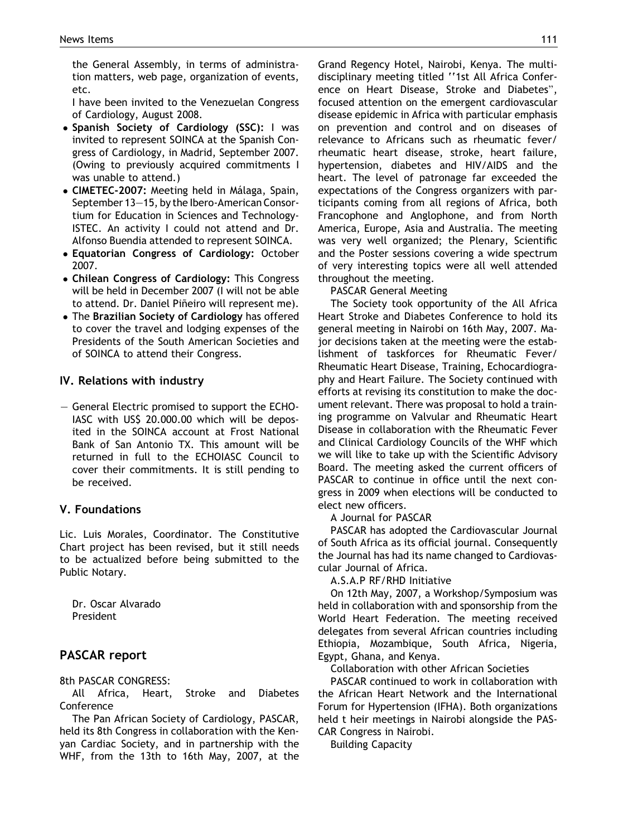the General Assembly, in terms of administration matters, web page, organization of events, etc.

I have been invited to the Venezuelan Congress of Cardiology, August 2008.

- Spanish Society of Cardiology (SSC): I was invited to represent SOINCA at the Spanish Congress of Cardiology, in Madrid, September 2007. (Owing to previously acquired commitments I was unable to attend.)
- CIMETEC-2007: Meeting held in Málaga, Spain, September 13–15, by the Ibero-American Consortium for Education in Sciences and Technology-ISTEC. An activity I could not attend and Dr. Alfonso Buendia attended to represent SOINCA.
- Equatorian Congress of Cardiology: October 2007.
- Chilean Congress of Cardiology: This Congress will be held in December 2007 (I will not be able to attend. Dr. Daniel Piñeiro will represent me).
- The Brazilian Society of Cardiology has offered to cover the travel and lodging expenses of the Presidents of the South American Societies and of SOINCA to attend their Congress.

#### IV. Relations with industry

– General Electric promised to support the ECHO-IASC with US\$ 20.000.00 which will be deposited in the SOINCA account at Frost National Bank of San Antonio TX. This amount will be returned in full to the ECHOIASC Council to cover their commitments. It is still pending to be received.

#### V. Foundations

Lic. Luis Morales, Coordinator. The Constitutive Chart project has been revised, but it still needs to be actualized before being submitted to the Public Notary.

Dr. Oscar Alvarado President

# PASCAR report

8th PASCAR CONGRESS:

All Africa, Heart, Stroke and Diabetes Conference

The Pan African Society of Cardiology, PASCAR, held its 8th Congress in collaboration with the Kenyan Cardiac Society, and in partnership with the WHF, from the 13th to 16th May, 2007, at the Grand Regency Hotel, Nairobi, Kenya. The multidisciplinary meeting titled ''1st All Africa Conference on Heart Disease, Stroke and Diabetes", focused attention on the emergent cardiovascular disease epidemic in Africa with particular emphasis on prevention and control and on diseases of relevance to Africans such as rheumatic fever/ rheumatic heart disease, stroke, heart failure, hypertension, diabetes and HIV/AIDS and the heart. The level of patronage far exceeded the expectations of the Congress organizers with participants coming from all regions of Africa, both Francophone and Anglophone, and from North America, Europe, Asia and Australia. The meeting was very well organized; the Plenary, Scientific and the Poster sessions covering a wide spectrum of very interesting topics were all well attended throughout the meeting.

PASCAR General Meeting

The Society took opportunity of the All Africa Heart Stroke and Diabetes Conference to hold its general meeting in Nairobi on 16th May, 2007. Major decisions taken at the meeting were the establishment of taskforces for Rheumatic Fever/ Rheumatic Heart Disease, Training, Echocardiography and Heart Failure. The Society continued with efforts at revising its constitution to make the document relevant. There was proposal to hold a training programme on Valvular and Rheumatic Heart Disease in collaboration with the Rheumatic Fever and Clinical Cardiology Councils of the WHF which we will like to take up with the Scientific Advisory Board. The meeting asked the current officers of PASCAR to continue in office until the next congress in 2009 when elections will be conducted to elect new officers.

A Journal for PASCAR

PASCAR has adopted the Cardiovascular Journal of South Africa as its official journal. Consequently the Journal has had its name changed to Cardiovascular Journal of Africa.

A.S.A.P RF/RHD Initiative

On 12th May, 2007, a Workshop/Symposium was held in collaboration with and sponsorship from the World Heart Federation. The meeting received delegates from several African countries including Ethiopia, Mozambique, South Africa, Nigeria, Egypt, Ghana, and Kenya.

Collaboration with other African Societies

PASCAR continued to work in collaboration with the African Heart Network and the International Forum for Hypertension (IFHA). Both organizations held t heir meetings in Nairobi alongside the PAS-CAR Congress in Nairobi.

Building Capacity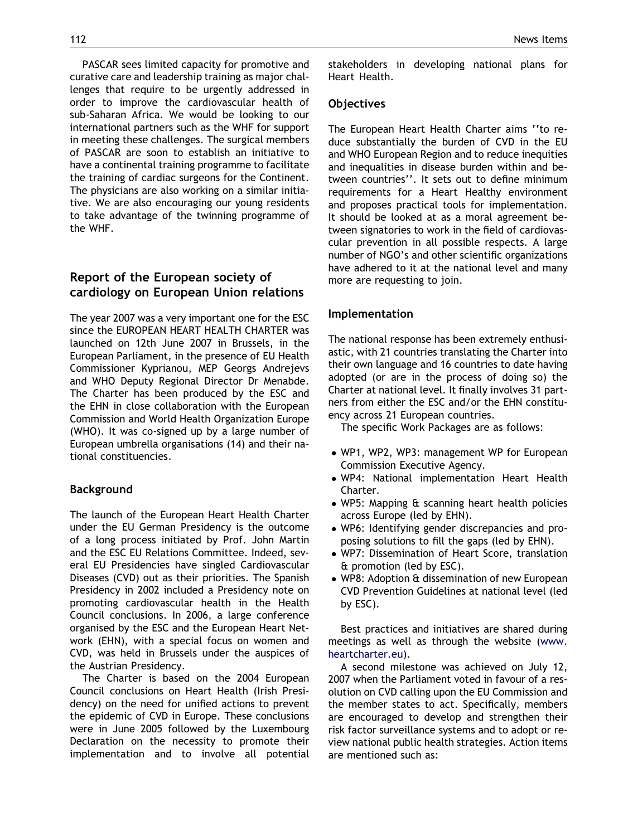PASCAR sees limited capacity for promotive and curative care and leadership training as major challenges that require to be urgently addressed in order to improve the cardiovascular health of sub-Saharan Africa. We would be looking to our international partners such as the WHF for support in meeting these challenges. The surgical members of PASCAR are soon to establish an initiative to have a continental training programme to facilitate the training of cardiac surgeons for the Continent. The physicians are also working on a similar initiative. We are also encouraging our young residents to take advantage of the twinning programme of the WHF.

# Report of the European society of cardiology on European Union relations

The year 2007 was a very important one for the ESC since the EUROPEAN HEART HEALTH CHARTER was launched on 12th June 2007 in Brussels, in the European Parliament, in the presence of EU Health Commissioner Kyprianou, MEP Georgs Andrejevs and WHO Deputy Regional Director Dr Menabde. The Charter has been produced by the ESC and the EHN in close collaboration with the European Commission and World Health Organization Europe (WHO). It was co-signed up by a large number of European umbrella organisations (14) and their national constituencies.

#### Background

The launch of the European Heart Health Charter under the EU German Presidency is the outcome of a long process initiated by Prof. John Martin and the ESC EU Relations Committee. Indeed, several EU Presidencies have singled Cardiovascular Diseases (CVD) out as their priorities. The Spanish Presidency in 2002 included a Presidency note on promoting cardiovascular health in the Health Council conclusions. In 2006, a large conference organised by the ESC and the European Heart Network (EHN), with a special focus on women and CVD, was held in Brussels under the auspices of the Austrian Presidency.

The Charter is based on the 2004 European Council conclusions on Heart Health (Irish Presidency) on the need for unified actions to prevent the epidemic of CVD in Europe. These conclusions were in June 2005 followed by the Luxembourg Declaration on the necessity to promote their implementation and to involve all potential stakeholders in developing national plans for Heart Health.

#### **Objectives**

The European Heart Health Charter aims ''to reduce substantially the burden of CVD in the EU and WHO European Region and to reduce inequities and inequalities in disease burden within and between countries''. It sets out to define minimum requirements for a Heart Healthy environment and proposes practical tools for implementation. It should be looked at as a moral agreement between signatories to work in the field of cardiovascular prevention in all possible respects. A large number of NGO's and other scientific organizations have adhered to it at the national level and many more are requesting to join.

#### Implementation

The national response has been extremely enthusiastic, with 21 countries translating the Charter into their own language and 16 countries to date having adopted (or are in the process of doing so) the Charter at national level. It finally involves 31 partners from either the ESC and/or the EHN constituency across 21 European countries.

The specific Work Packages are as follows:

- WP1, WP2, WP3: management WP for European Commission Executive Agency.
- WP4: National implementation Heart Health Charter.
- WP5: Mapping & scanning heart health policies across Europe (led by EHN).
- WP6: Identifying gender discrepancies and proposing solutions to fill the gaps (led by EHN).
- WP7: Dissemination of Heart Score, translation & promotion (led by ESC).
- WP8: Adoption & dissemination of new European CVD Prevention Guidelines at national level (led by ESC).

Best practices and initiatives are shared during meetings as well as through the website ([www.](http://www.heartcharter.eu) [heartcharter.eu](http://www.heartcharter.eu)).

A second milestone was achieved on July 12, 2007 when the Parliament voted in favour of a resolution on CVD calling upon the EU Commission and the member states to act. Specifically, members are encouraged to develop and strengthen their risk factor surveillance systems and to adopt or review national public health strategies. Action items are mentioned such as: